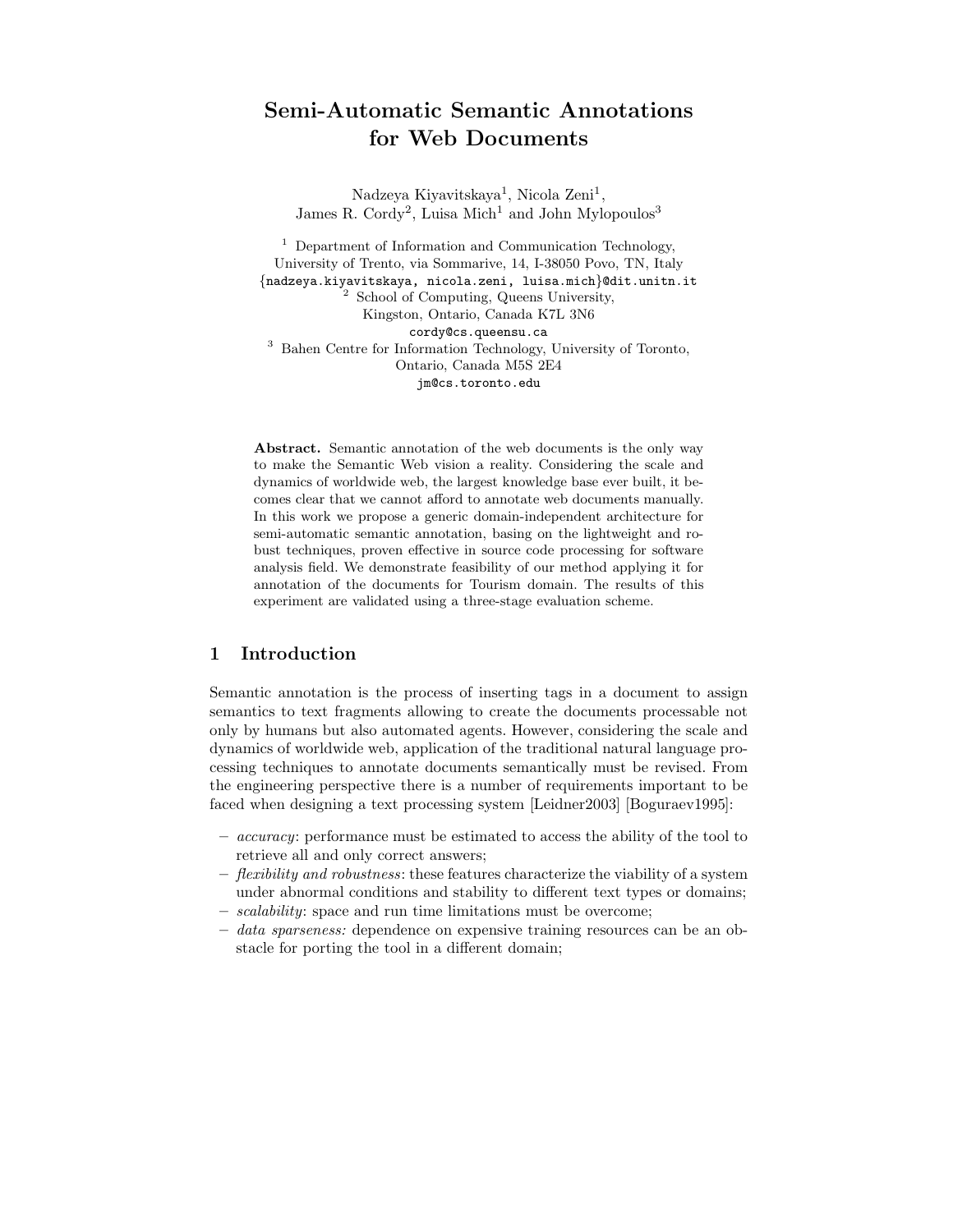# Semi-Automatic Semantic Annotations for Web Documents

Nadzeya Kiyavitskaya<sup>1</sup>, Nicola Zeni<sup>1</sup>, James R. Cordy<sup>2</sup>, Luisa Mich<sup>1</sup> and John Mylopoulos<sup>3</sup>

<sup>1</sup> Department of Information and Communication Technology, University of Trento, via Sommarive, 14, I-38050 Povo, TN, Italy {nadzeya.kiyavitskaya, nicola.zeni, luisa.mich}@dit.unitn.it <sup>2</sup> School of Computing, Queens University, Kingston, Ontario, Canada K7L 3N6 cordy@cs.queensu.ca <sup>3</sup> Bahen Centre for Information Technology, University of Toronto, Ontario, Canada M5S 2E4 jm@cs.toronto.edu

Abstract. Semantic annotation of the web documents is the only way to make the Semantic Web vision a reality. Considering the scale and dynamics of worldwide web, the largest knowledge base ever built, it becomes clear that we cannot afford to annotate web documents manually. In this work we propose a generic domain-independent architecture for semi-automatic semantic annotation, basing on the lightweight and robust techniques, proven effective in source code processing for software analysis field. We demonstrate feasibility of our method applying it for annotation of the documents for Tourism domain. The results of this experiment are validated using a three-stage evaluation scheme.

## 1 Introduction

Semantic annotation is the process of inserting tags in a document to assign semantics to text fragments allowing to create the documents processable not only by humans but also automated agents. However, considering the scale and dynamics of worldwide web, application of the traditional natural language processing techniques to annotate documents semantically must be revised. From the engineering perspective there is a number of requirements important to be faced when designing a text processing system [Leidner2003] [Boguraev1995]:

- accuracy: performance must be estimated to access the ability of the tool to retrieve all and only correct answers;
- $-$  flexibility and robustness: these features characterize the viability of a system under abnormal conditions and stability to different text types or domains;
- scalability: space and run time limitations must be overcome;
- $-$  data sparseness: dependence on expensive training resources can be an obstacle for porting the tool in a different domain;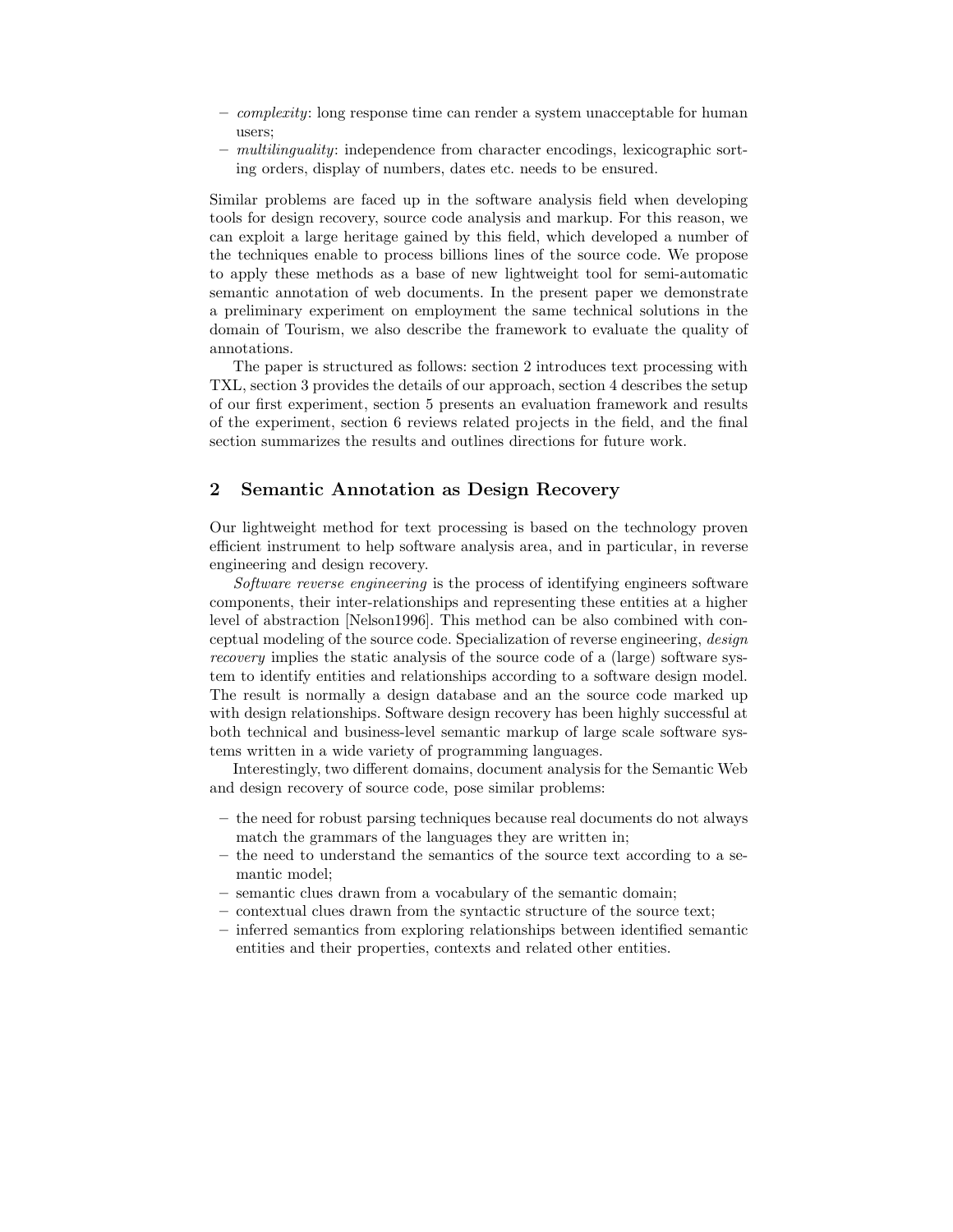- $-$  *complexity*: long response time can render a system unacceptable for human users;
- multilinguality: independence from character encodings, lexicographic sorting orders, display of numbers, dates etc. needs to be ensured.

Similar problems are faced up in the software analysis field when developing tools for design recovery, source code analysis and markup. For this reason, we can exploit a large heritage gained by this field, which developed a number of the techniques enable to process billions lines of the source code. We propose to apply these methods as a base of new lightweight tool for semi-automatic semantic annotation of web documents. In the present paper we demonstrate a preliminary experiment on employment the same technical solutions in the domain of Tourism, we also describe the framework to evaluate the quality of annotations.

The paper is structured as follows: section 2 introduces text processing with TXL, section 3 provides the details of our approach, section 4 describes the setup of our first experiment, section 5 presents an evaluation framework and results of the experiment, section 6 reviews related projects in the field, and the final section summarizes the results and outlines directions for future work.

### 2 Semantic Annotation as Design Recovery

Our lightweight method for text processing is based on the technology proven efficient instrument to help software analysis area, and in particular, in reverse engineering and design recovery.

Software reverse engineering is the process of identifying engineers software components, their inter-relationships and representing these entities at a higher level of abstraction [Nelson1996]. This method can be also combined with conceptual modeling of the source code. Specialization of reverse engineering, design recovery implies the static analysis of the source code of a (large) software system to identify entities and relationships according to a software design model. The result is normally a design database and an the source code marked up with design relationships. Software design recovery has been highly successful at both technical and business-level semantic markup of large scale software systems written in a wide variety of programming languages.

Interestingly, two different domains, document analysis for the Semantic Web and design recovery of source code, pose similar problems:

- the need for robust parsing techniques because real documents do not always match the grammars of the languages they are written in;
- the need to understand the semantics of the source text according to a semantic model;
- semantic clues drawn from a vocabulary of the semantic domain;
- contextual clues drawn from the syntactic structure of the source text;
- inferred semantics from exploring relationships between identified semantic entities and their properties, contexts and related other entities.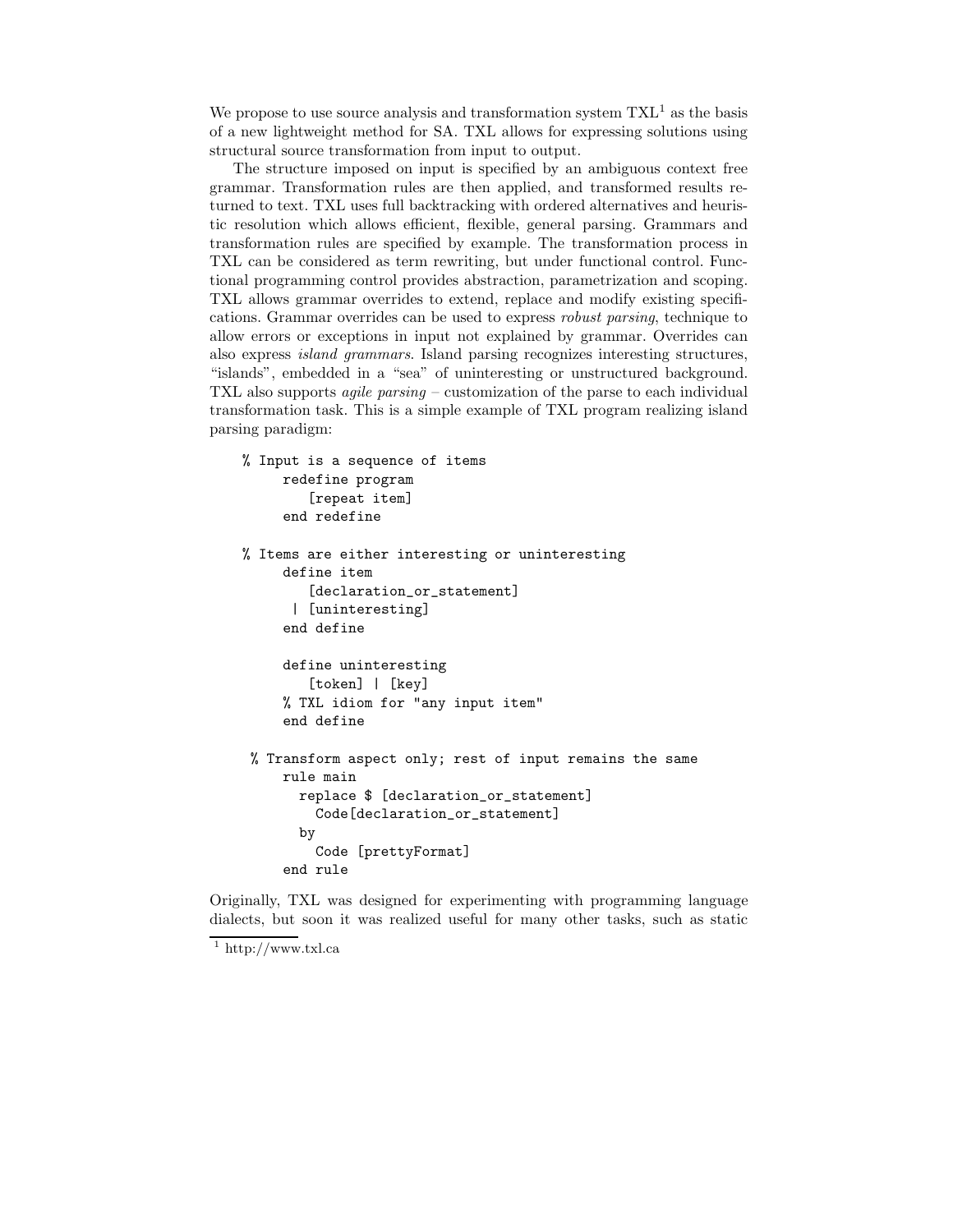We propose to use source analysis and transformation system  $\mathrm{TXL}^1$  as the basis of a new lightweight method for SA. TXL allows for expressing solutions using structural source transformation from input to output.

The structure imposed on input is specified by an ambiguous context free grammar. Transformation rules are then applied, and transformed results returned to text. TXL uses full backtracking with ordered alternatives and heuristic resolution which allows efficient, flexible, general parsing. Grammars and transformation rules are specified by example. The transformation process in TXL can be considered as term rewriting, but under functional control. Functional programming control provides abstraction, parametrization and scoping. TXL allows grammar overrides to extend, replace and modify existing specifications. Grammar overrides can be used to express robust parsing, technique to allow errors or exceptions in input not explained by grammar. Overrides can also express island grammars. Island parsing recognizes interesting structures, "islands", embedded in a "sea" of uninteresting or unstructured background. TXL also supports agile parsing – customization of the parse to each individual transformation task. This is a simple example of TXL program realizing island parsing paradigm:

```
% Input is a sequence of items
     redefine program
        [repeat item]
     end redefine
% Items are either interesting or uninteresting
     define item
        [declaration_or_statement]
      | [uninteresting]
     end define
     define uninteresting
        [token] | [key]
     % TXL idiom for "any input item"
     end define
% Transform aspect only; rest of input remains the same
     rule main
       replace $ [declaration_or_statement]
         Code[declaration_or_statement]
       by
         Code [prettyFormat]
     end rule
```
Originally, TXL was designed for experimenting with programming language dialects, but soon it was realized useful for many other tasks, such as static

 $1$  http://www.txl.ca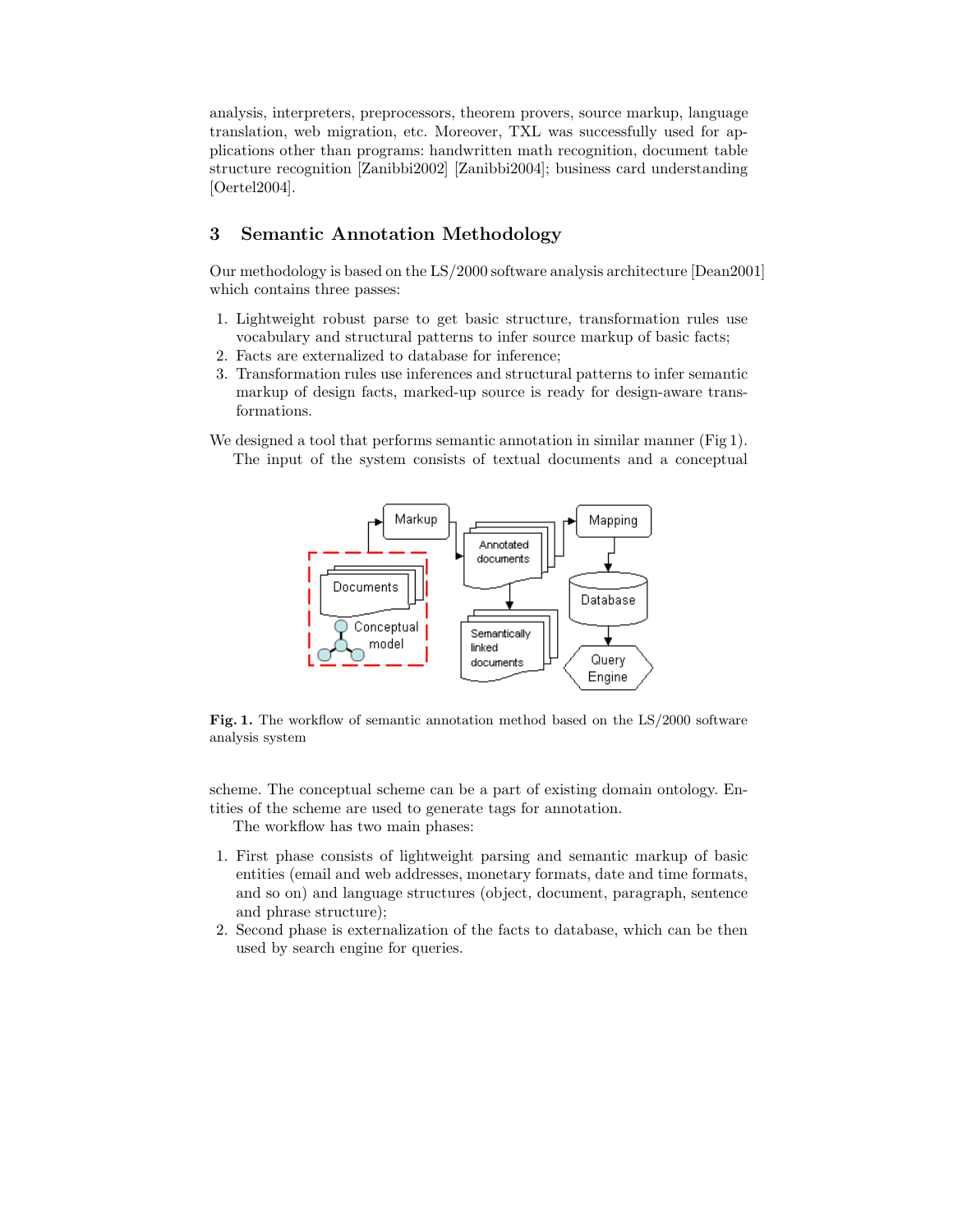analysis, interpreters, preprocessors, theorem provers, source markup, language translation, web migration, etc. Moreover, TXL was successfully used for applications other than programs: handwritten math recognition, document table structure recognition [Zanibbi2002] [Zanibbi2004]; business card understanding [Oertel2004].

## 3 Semantic Annotation Methodology

Our methodology is based on the LS/2000 software analysis architecture [Dean2001] which contains three passes:

- 1. Lightweight robust parse to get basic structure, transformation rules use vocabulary and structural patterns to infer source markup of basic facts;
- 2. Facts are externalized to database for inference;
- 3. Transformation rules use inferences and structural patterns to infer semantic markup of design facts, marked-up source is ready for design-aware transformations.
- We designed a tool that performs semantic annotation in similar manner (Fig 1). The input of the system consists of textual documents and a conceptual



Fig. 1. The workflow of semantic annotation method based on the LS/2000 software analysis system

scheme. The conceptual scheme can be a part of existing domain ontology. Entities of the scheme are used to generate tags for annotation.

The workflow has two main phases:

- 1. First phase consists of lightweight parsing and semantic markup of basic entities (email and web addresses, monetary formats, date and time formats, and so on) and language structures (object, document, paragraph, sentence and phrase structure);
- 2. Second phase is externalization of the facts to database, which can be then used by search engine for queries.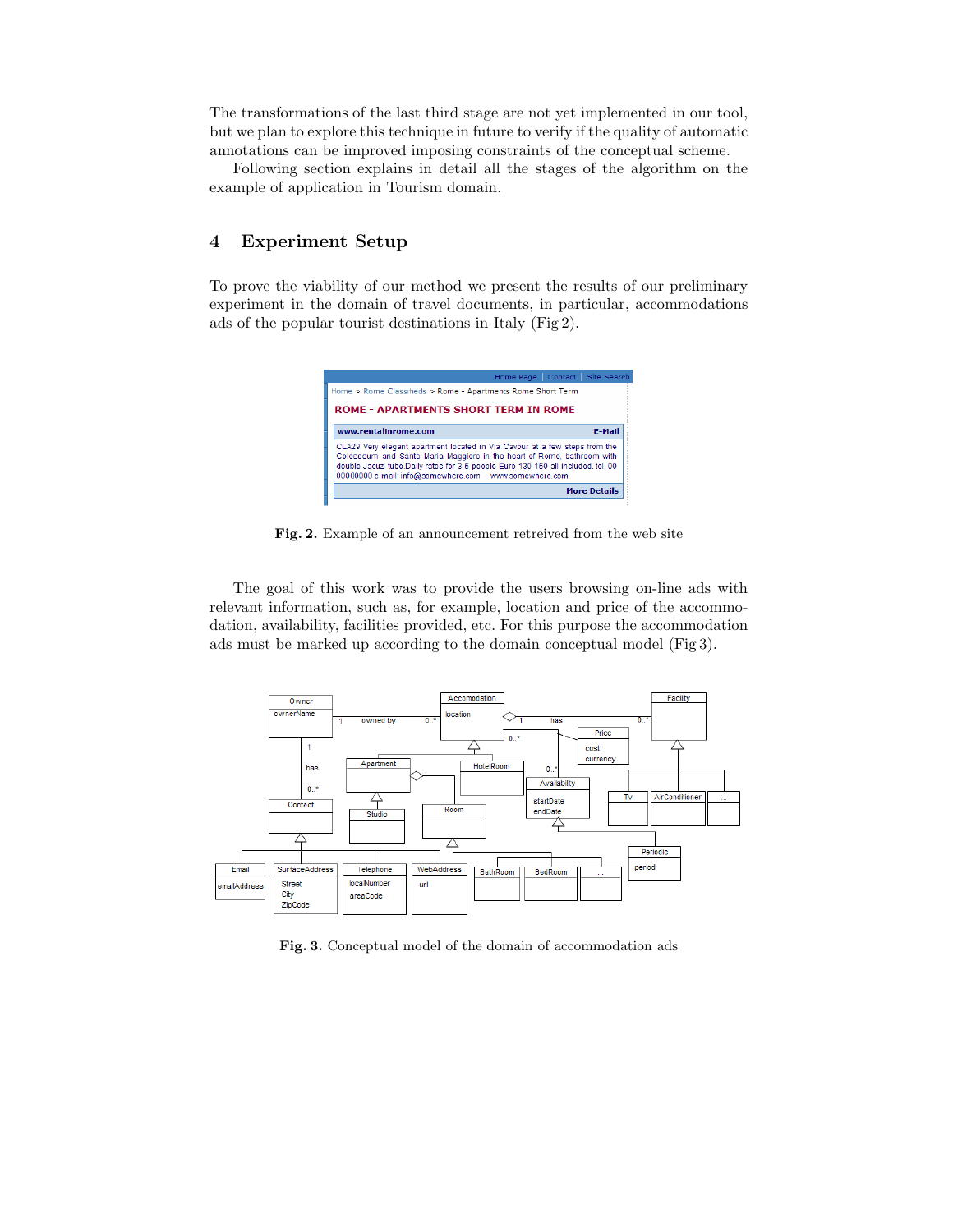The transformations of the last third stage are not yet implemented in our tool, but we plan to explore this technique in future to verify if the quality of automatic annotations can be improved imposing constraints of the conceptual scheme.

Following section explains in detail all the stages of the algorithm on the example of application in Tourism domain.

## 4 Experiment Setup

To prove the viability of our method we present the results of our preliminary experiment in the domain of travel documents, in particular, accommodations ads of the popular tourist destinations in Italy (Fig 2).



Fig. 2. Example of an announcement retreived from the web site

The goal of this work was to provide the users browsing on-line ads with relevant information, such as, for example, location and price of the accommodation, availability, facilities provided, etc. For this purpose the accommodation ads must be marked up according to the domain conceptual model (Fig 3).



Fig. 3. Conceptual model of the domain of accommodation ads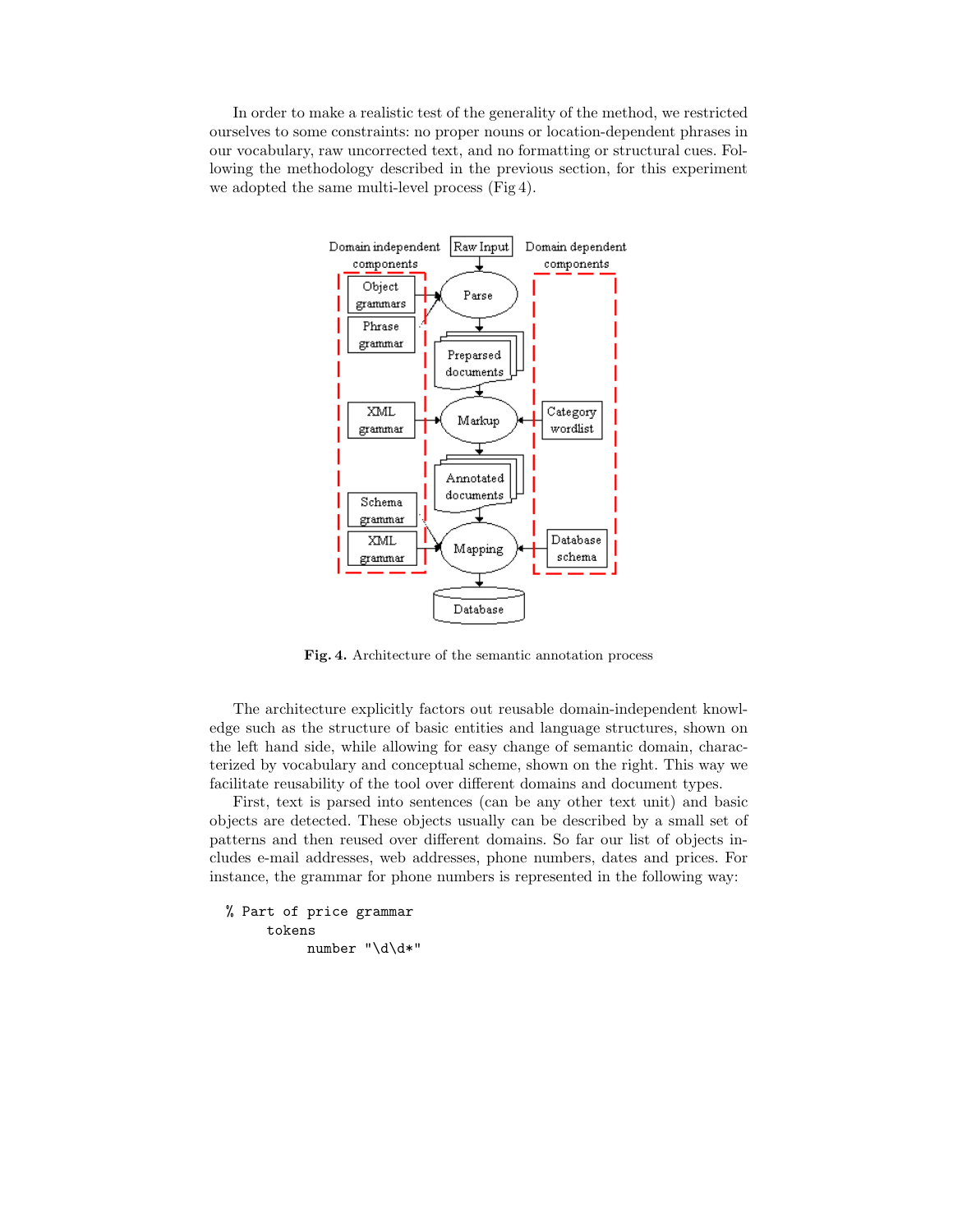In order to make a realistic test of the generality of the method, we restricted ourselves to some constraints: no proper nouns or location-dependent phrases in our vocabulary, raw uncorrected text, and no formatting or structural cues. Following the methodology described in the previous section, for this experiment we adopted the same multi-level process (Fig 4).



Fig. 4. Architecture of the semantic annotation process

The architecture explicitly factors out reusable domain-independent knowledge such as the structure of basic entities and language structures, shown on the left hand side, while allowing for easy change of semantic domain, characterized by vocabulary and conceptual scheme, shown on the right. This way we facilitate reusability of the tool over different domains and document types.

First, text is parsed into sentences (can be any other text unit) and basic objects are detected. These objects usually can be described by a small set of patterns and then reused over different domains. So far our list of objects includes e-mail addresses, web addresses, phone numbers, dates and prices. For instance, the grammar for phone numbers is represented in the following way:

```
% Part of price grammar
     tokens
          number "\d\d*"
```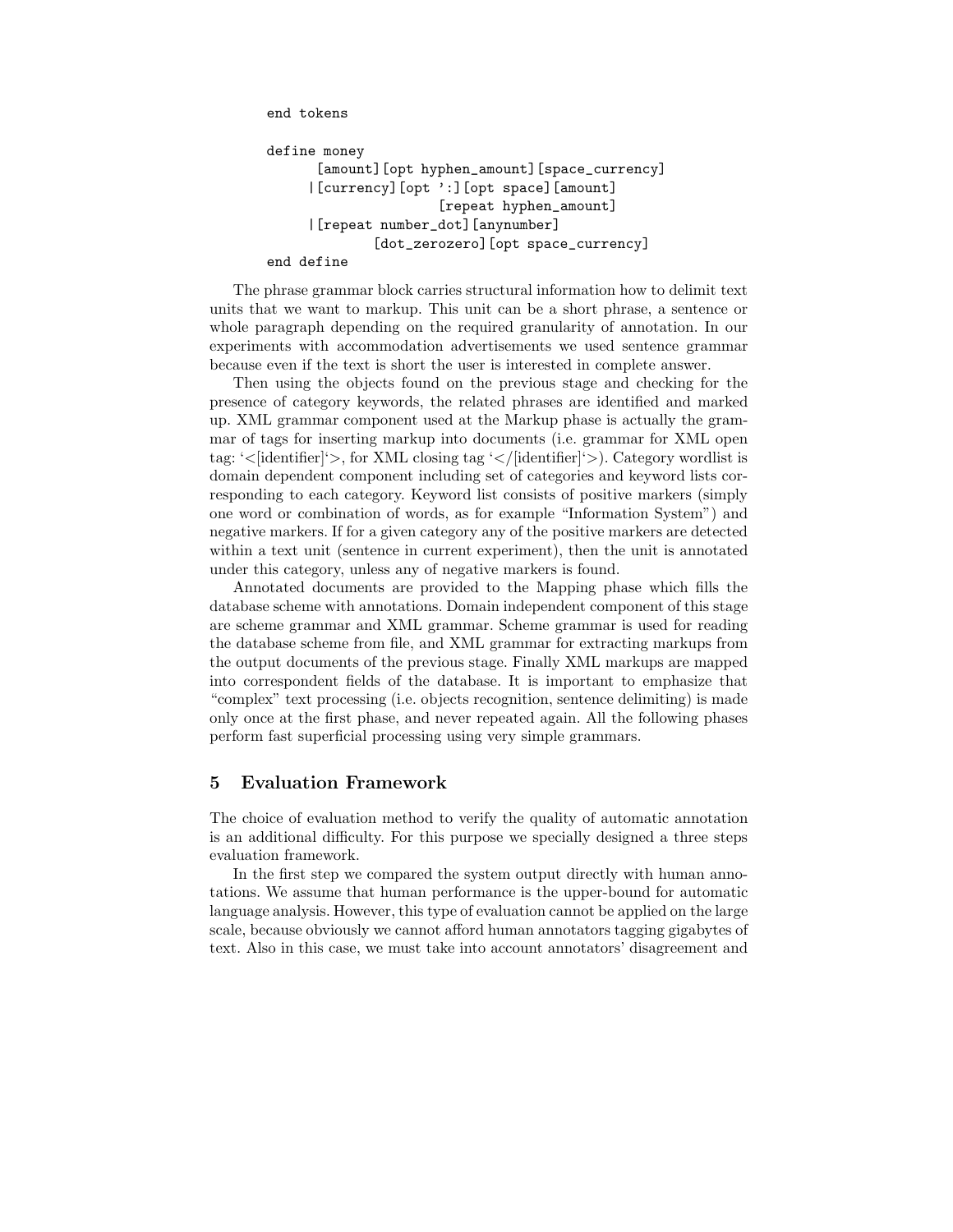end tokens

```
define money
      [amount][opt hyphen_amount][space_currency]
     |[currency][opt ':][opt space][amount]
                     [repeat hyphen_amount]
     |[repeat number_dot][anynumber]
             [dot_zerozero][opt space_currency]
end define
```
The phrase grammar block carries structural information how to delimit text units that we want to markup. This unit can be a short phrase, a sentence or whole paragraph depending on the required granularity of annotation. In our experiments with accommodation advertisements we used sentence grammar because even if the text is short the user is interested in complete answer.

Then using the objects found on the previous stage and checking for the presence of category keywords, the related phrases are identified and marked up. XML grammar component used at the Markup phase is actually the grammar of tags for inserting markup into documents (i.e. grammar for XML open tag: ' $\langle$ [identifier]' $\rangle$ , for XML closing tag ' $\langle$ /[identifier]' $\rangle$ ). Category wordlist is domain dependent component including set of categories and keyword lists corresponding to each category. Keyword list consists of positive markers (simply one word or combination of words, as for example "Information System") and negative markers. If for a given category any of the positive markers are detected within a text unit (sentence in current experiment), then the unit is annotated under this category, unless any of negative markers is found.

Annotated documents are provided to the Mapping phase which fills the database scheme with annotations. Domain independent component of this stage are scheme grammar and XML grammar. Scheme grammar is used for reading the database scheme from file, and XML grammar for extracting markups from the output documents of the previous stage. Finally XML markups are mapped into correspondent fields of the database. It is important to emphasize that "complex" text processing (i.e. objects recognition, sentence delimiting) is made only once at the first phase, and never repeated again. All the following phases perform fast superficial processing using very simple grammars.

## 5 Evaluation Framework

The choice of evaluation method to verify the quality of automatic annotation is an additional difficulty. For this purpose we specially designed a three steps evaluation framework.

In the first step we compared the system output directly with human annotations. We assume that human performance is the upper-bound for automatic language analysis. However, this type of evaluation cannot be applied on the large scale, because obviously we cannot afford human annotators tagging gigabytes of text. Also in this case, we must take into account annotators' disagreement and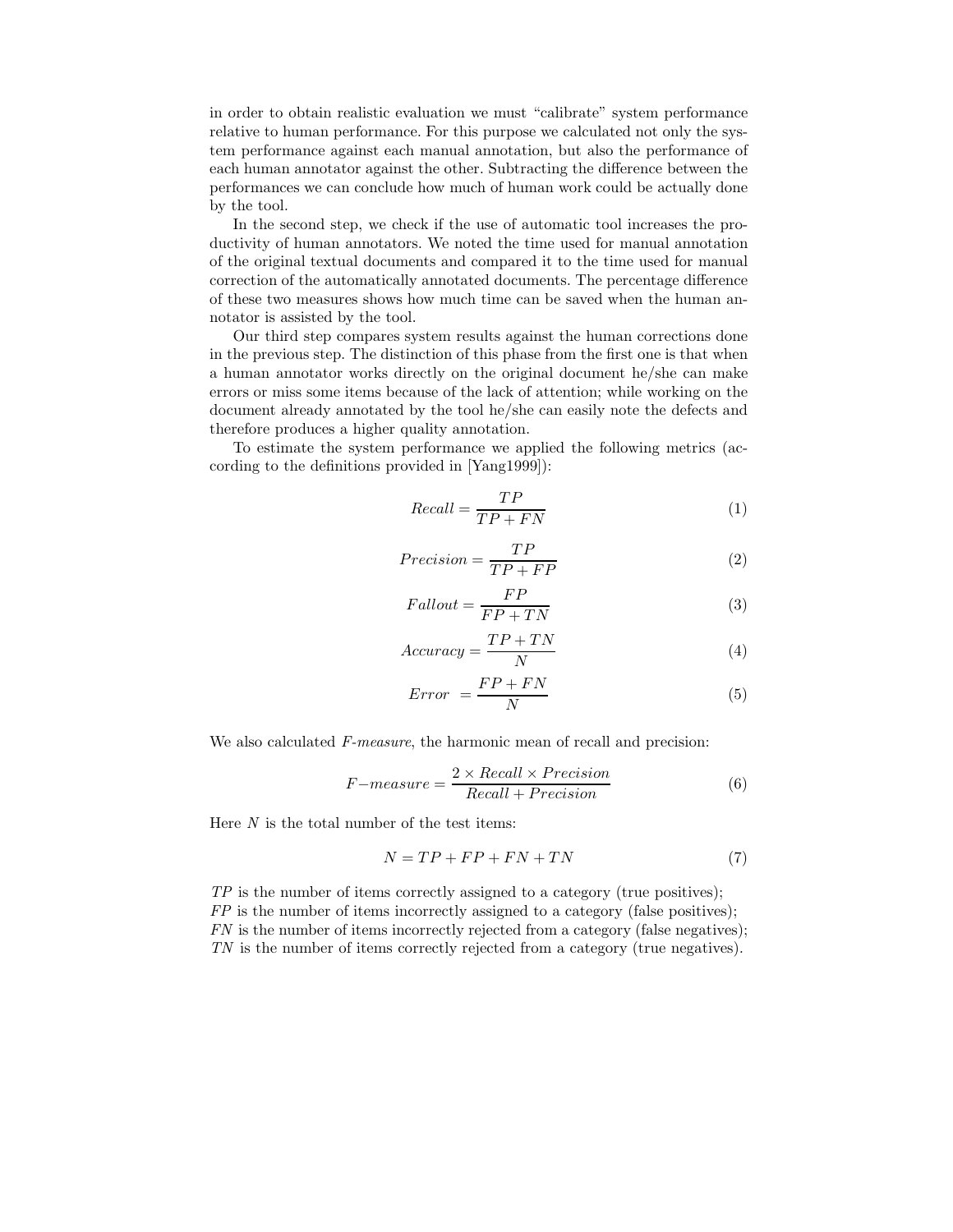in order to obtain realistic evaluation we must "calibrate" system performance relative to human performance. For this purpose we calculated not only the system performance against each manual annotation, but also the performance of each human annotator against the other. Subtracting the difference between the performances we can conclude how much of human work could be actually done by the tool.

In the second step, we check if the use of automatic tool increases the productivity of human annotators. We noted the time used for manual annotation of the original textual documents and compared it to the time used for manual correction of the automatically annotated documents. The percentage difference of these two measures shows how much time can be saved when the human annotator is assisted by the tool.

Our third step compares system results against the human corrections done in the previous step. The distinction of this phase from the first one is that when a human annotator works directly on the original document he/she can make errors or miss some items because of the lack of attention; while working on the document already annotated by the tool he/she can easily note the defects and therefore produces a higher quality annotation.

To estimate the system performance we applied the following metrics (according to the definitions provided in [Yang1999]):

$$
Recall = \frac{TP}{TP + FN} \tag{1}
$$

$$
Precision = \frac{TP}{TP + FP}
$$
 (2)

 $\overline{r}$ 

$$
Fallout = \frac{FP}{FP + TN}
$$
\n<sup>(3)</sup>

$$
Accuracy = \frac{TP + TN}{N}
$$
\n(4)

$$
Error = \frac{FP + FN}{N} \tag{5}
$$

We also calculated F-measure, the harmonic mean of recall and precision:

$$
F-measure = \frac{2 \times Recall \times Precision}{Recall + Precision}
$$
 (6)

Here  $N$  is the total number of the test items:

$$
N = TP + FP + FN + TN \tag{7}
$$

 $TP$  is the number of items correctly assigned to a category (true positives);  $FP$  is the number of items incorrectly assigned to a category (false positives); FN is the number of items incorrectly rejected from a category (false negatives); TN is the number of items correctly rejected from a category (true negatives).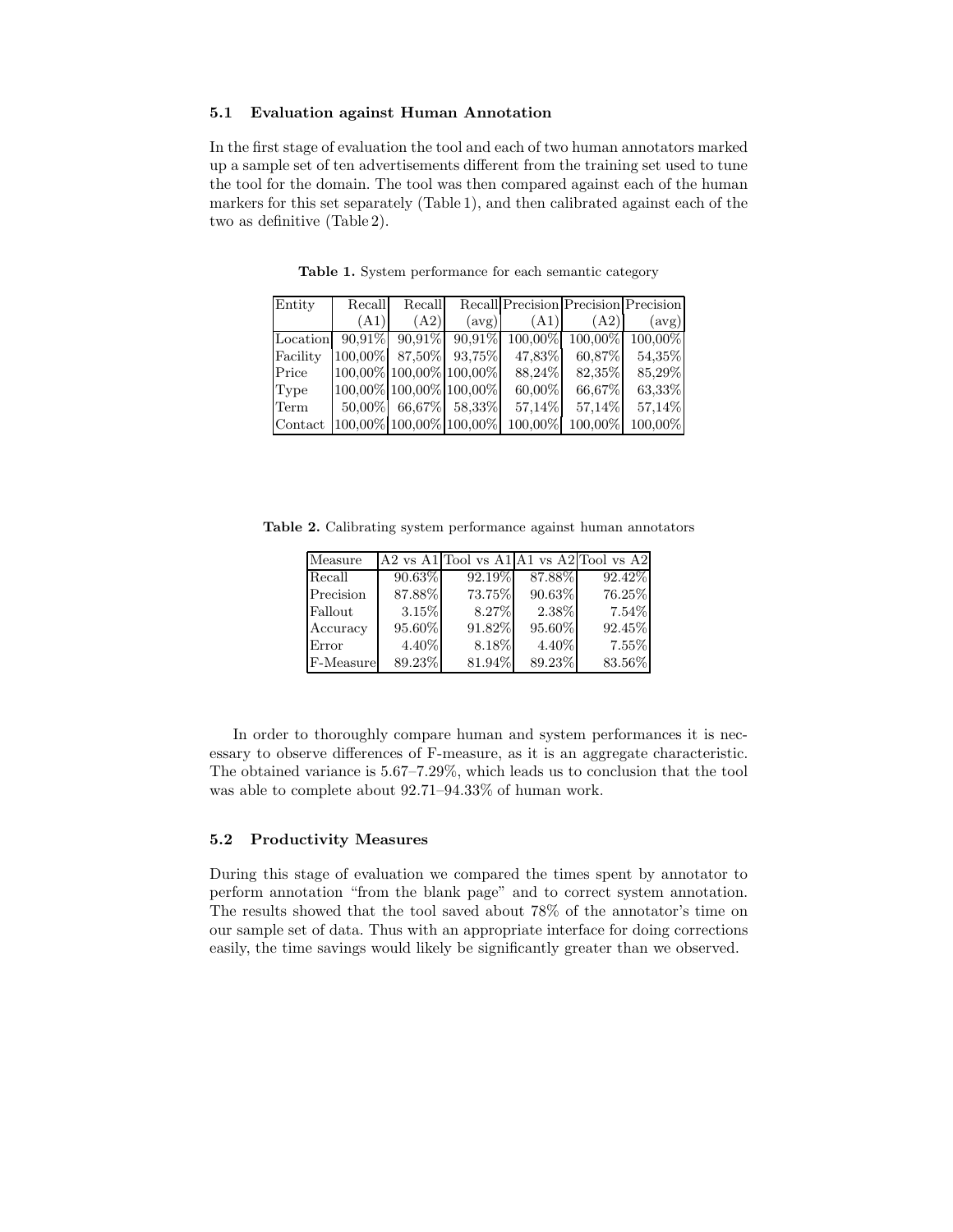#### 5.1 Evaluation against Human Annotation

In the first stage of evaluation the tool and each of two human annotators marked up a sample set of ten advertisements different from the training set used to tune the tool for the domain. The tool was then compared against each of the human markers for this set separately (Table 1), and then calibrated against each of the two as definitive (Table 2).

| Entity   | Recall                     | Recall               |                | Recall Precision Precision Precision                           |         |         |
|----------|----------------------------|----------------------|----------------|----------------------------------------------------------------|---------|---------|
|          | (A1)                       | (A2)                 | $(\text{avg})$ | (A1)                                                           | (A2)    | (avg)   |
| Location |                            |                      |                | $90,91\%$ $90,91\%$ $90,91\%$ $100,00\%$ $100,00\%$ $100,00\%$ |         |         |
| Facility | $100,00\%$ 87,50% 93,75%   |                      |                | 47,83%                                                         | 60,87%  | 54,35%  |
| Price    | $100,00\%$ 100,00% 100,00% |                      |                | 88,24%                                                         | 82,35%  | 85,29%  |
| Type     | 100,00% 100,00% 100,00%    |                      |                | 60,00%                                                         | 66,67%  | 63,33%  |
| Term     |                            | 50,00% 66,67% 58,33% |                | 57,14%                                                         | 57,14%  | 57,14%  |
| Contact  | 100,00% 100,00% 100,00%    |                      |                | 100,00%                                                        | 100,00% | 100,00% |

Table 1. System performance for each semantic category

Table 2. Calibrating system performance against human annotators

| Measure   |        |        |        | A2 vs A1 Tool vs A1 A1 vs A2 Tool vs A2 |
|-----------|--------|--------|--------|-----------------------------------------|
| Recall    | 90.63% | 92.19% | 87.88% | 92.42%                                  |
| Precision | 87.88% | 73.75% | 90.63% | 76.25%                                  |
| Fallout   | 3.15%  | 8.27%  | 2.38%  | $7.54\%$                                |
| Accuracy  | 95.60% | 91.82% | 95.60% | 92.45%                                  |
| Error     | 4.40\% | 8.18%  | 4.40\% | 7.55%                                   |
| F-Measure | 89.23% | 81.94% | 89.23% | 83.56%                                  |

In order to thoroughly compare human and system performances it is necessary to observe differences of F-measure, as it is an aggregate characteristic. The obtained variance is 5.67–7.29%, which leads us to conclusion that the tool was able to complete about 92.71–94.33% of human work.

## 5.2 Productivity Measures

During this stage of evaluation we compared the times spent by annotator to perform annotation "from the blank page" and to correct system annotation. The results showed that the tool saved about 78% of the annotator's time on our sample set of data. Thus with an appropriate interface for doing corrections easily, the time savings would likely be significantly greater than we observed.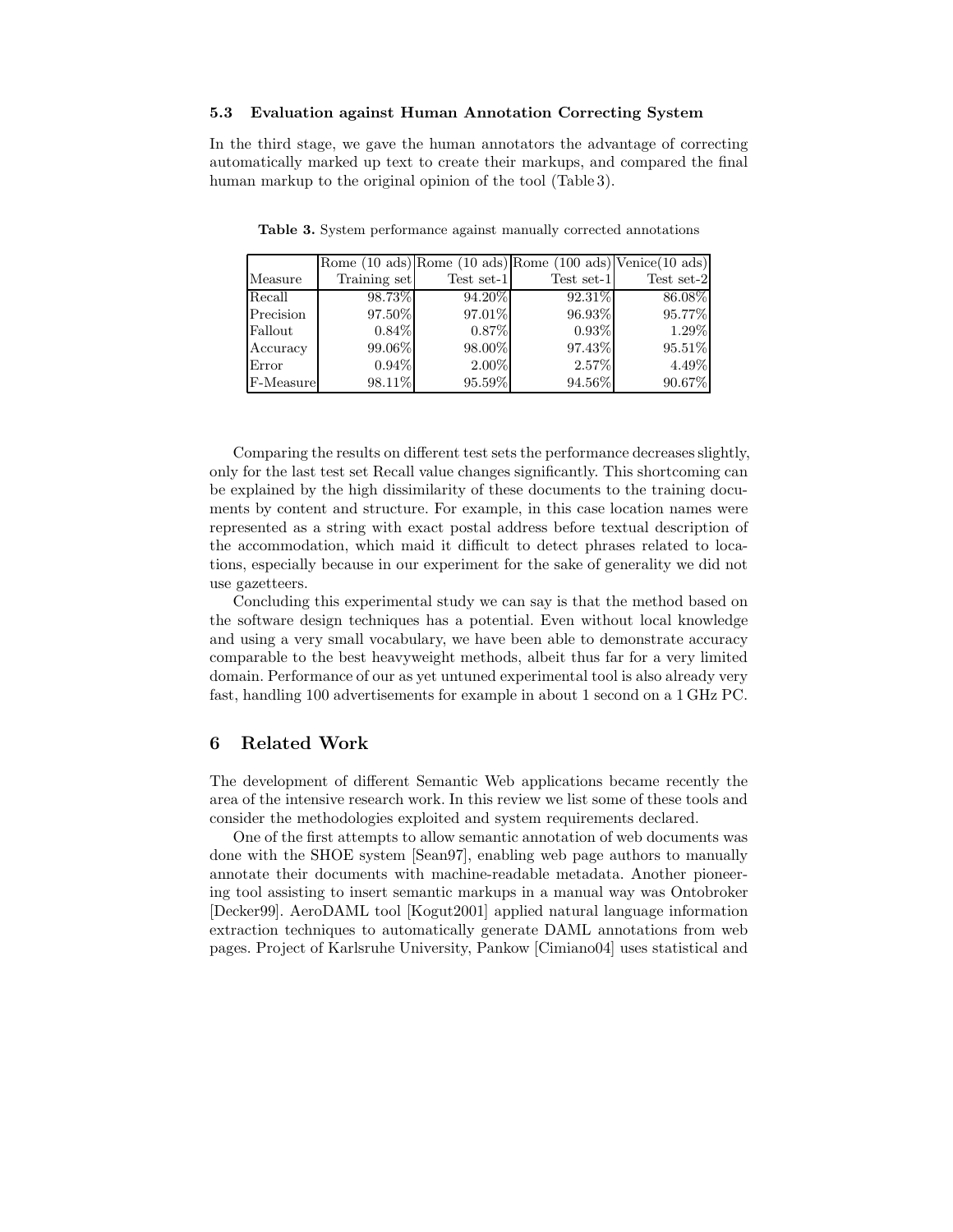#### 5.3 Evaluation against Human Annotation Correcting System

In the third stage, we gave the human annotators the advantage of correcting automatically marked up text to create their markups, and compared the final human markup to the original opinion of the tool (Table 3).

|           |              |            | Rome $(10 \text{ ads})$ Rome $(10 \text{ ads})$ Rome $(100 \text{ ads})$ Venice $(10 \text{ ads})$ |            |
|-----------|--------------|------------|----------------------------------------------------------------------------------------------------|------------|
| Measure   | Training set | Test set-1 | Test set-1                                                                                         | Test set-2 |
| Recall    | 98.73%       | $94.20\%$  | $92.31\%$                                                                                          | 86.08%     |
| Precision | 97.50%       | 97.01%     | 96.93%                                                                                             | 95.77%     |
| Fallout   | $0.84\%$     | 0.87%      | $0.93\%$                                                                                           | 1.29%      |
| Accuracy  | 99.06%       | 98.00%     | 97.43%                                                                                             | 95.51%     |
| Error     | $0.94\%$     | 2.00%      | 2.57%                                                                                              | 4.49%      |
| F-Measure | 98.11%       | 95.59%     | 94.56%                                                                                             | 90.67%     |

Table 3. System performance against manually corrected annotations

Comparing the results on different test sets the performance decreases slightly, only for the last test set Recall value changes significantly. This shortcoming can be explained by the high dissimilarity of these documents to the training documents by content and structure. For example, in this case location names were represented as a string with exact postal address before textual description of the accommodation, which maid it difficult to detect phrases related to locations, especially because in our experiment for the sake of generality we did not use gazetteers.

Concluding this experimental study we can say is that the method based on the software design techniques has a potential. Even without local knowledge and using a very small vocabulary, we have been able to demonstrate accuracy comparable to the best heavyweight methods, albeit thus far for a very limited domain. Performance of our as yet untuned experimental tool is also already very fast, handling 100 advertisements for example in about 1 second on a 1 GHz PC.

#### 6 Related Work

The development of different Semantic Web applications became recently the area of the intensive research work. In this review we list some of these tools and consider the methodologies exploited and system requirements declared.

One of the first attempts to allow semantic annotation of web documents was done with the SHOE system [Sean97], enabling web page authors to manually annotate their documents with machine-readable metadata. Another pioneering tool assisting to insert semantic markups in a manual way was Ontobroker [Decker99]. AeroDAML tool [Kogut2001] applied natural language information extraction techniques to automatically generate DAML annotations from web pages. Project of Karlsruhe University, Pankow [Cimiano04] uses statistical and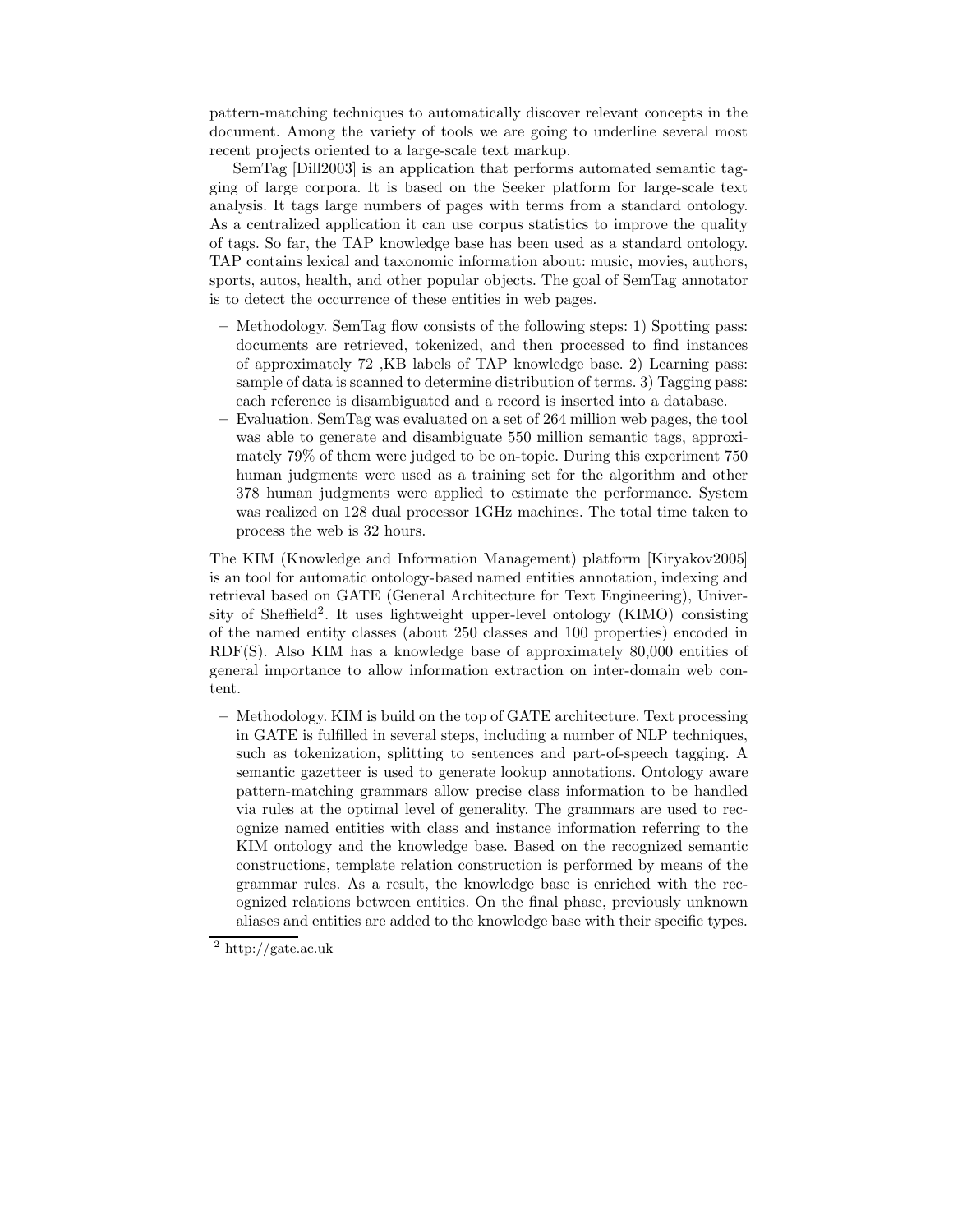pattern-matching techniques to automatically discover relevant concepts in the document. Among the variety of tools we are going to underline several most recent projects oriented to a large-scale text markup.

SemTag [Dill2003] is an application that performs automated semantic tagging of large corpora. It is based on the Seeker platform for large-scale text analysis. It tags large numbers of pages with terms from a standard ontology. As a centralized application it can use corpus statistics to improve the quality of tags. So far, the TAP knowledge base has been used as a standard ontology. TAP contains lexical and taxonomic information about: music, movies, authors, sports, autos, health, and other popular objects. The goal of SemTag annotator is to detect the occurrence of these entities in web pages.

- Methodology. SemTag flow consists of the following steps: 1) Spotting pass: documents are retrieved, tokenized, and then processed to find instances of approximately 72 ,KB labels of TAP knowledge base. 2) Learning pass: sample of data is scanned to determine distribution of terms. 3) Tagging pass: each reference is disambiguated and a record is inserted into a database.
- Evaluation. SemTag was evaluated on a set of 264 million web pages, the tool was able to generate and disambiguate 550 million semantic tags, approximately 79% of them were judged to be on-topic. During this experiment 750 human judgments were used as a training set for the algorithm and other 378 human judgments were applied to estimate the performance. System was realized on 128 dual processor 1GHz machines. The total time taken to process the web is 32 hours.

The KIM (Knowledge and Information Management) platform [Kiryakov2005] is an tool for automatic ontology-based named entities annotation, indexing and retrieval based on GATE (General Architecture for Text Engineering), University of Sheffield<sup>2</sup>. It uses lightweight upper-level ontology (KIMO) consisting of the named entity classes (about 250 classes and 100 properties) encoded in RDF(S). Also KIM has a knowledge base of approximately 80,000 entities of general importance to allow information extraction on inter-domain web content.

– Methodology. KIM is build on the top of GATE architecture. Text processing in GATE is fulfilled in several steps, including a number of NLP techniques, such as tokenization, splitting to sentences and part-of-speech tagging. A semantic gazetteer is used to generate lookup annotations. Ontology aware pattern-matching grammars allow precise class information to be handled via rules at the optimal level of generality. The grammars are used to recognize named entities with class and instance information referring to the KIM ontology and the knowledge base. Based on the recognized semantic constructions, template relation construction is performed by means of the grammar rules. As a result, the knowledge base is enriched with the recognized relations between entities. On the final phase, previously unknown aliases and entities are added to the knowledge base with their specific types.

 $\frac{2 \text{ http://gate.ac.uk}}{}$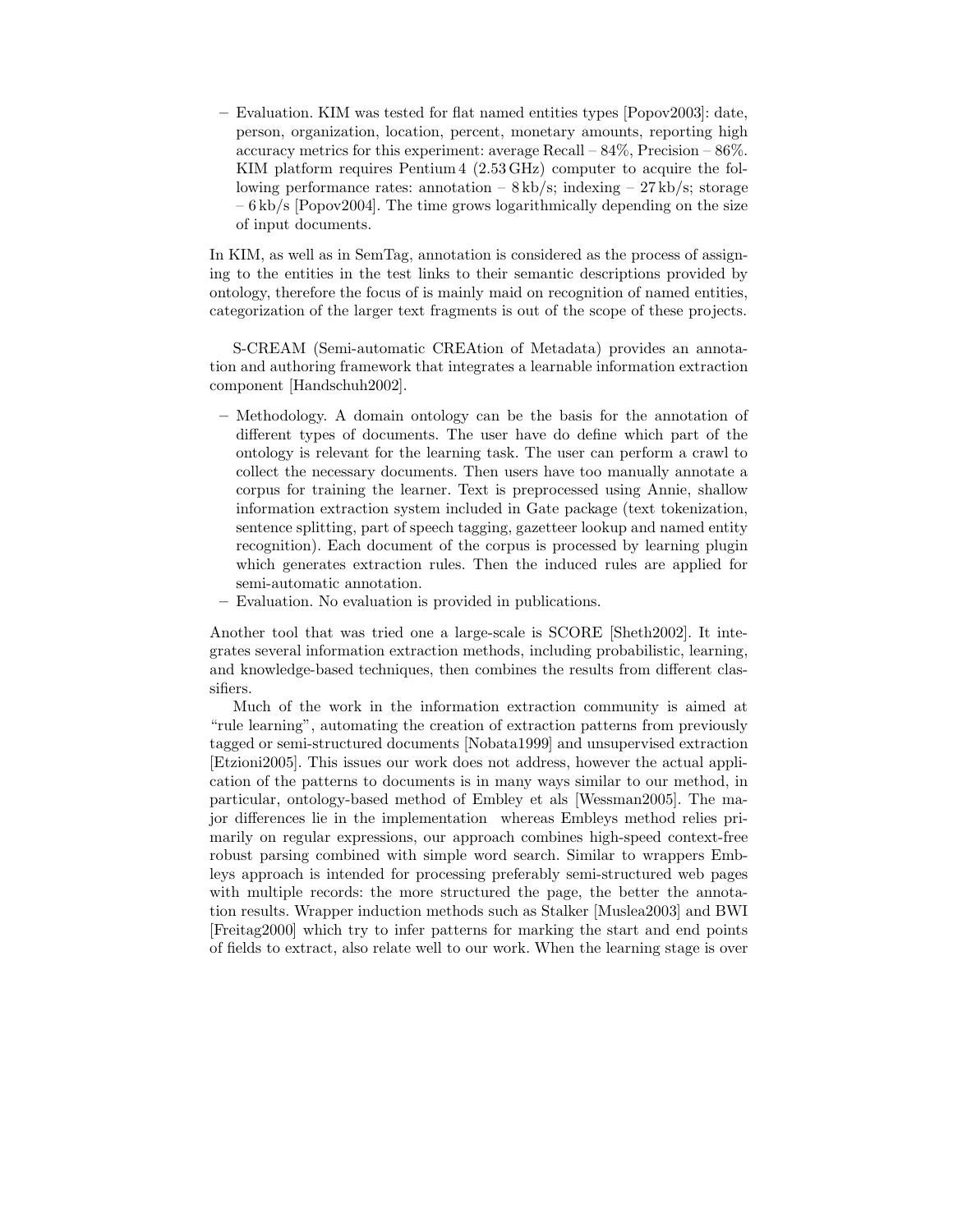– Evaluation. KIM was tested for flat named entities types [Popov2003]: date, person, organization, location, percent, monetary amounts, reporting high accuracy metrics for this experiment: average Recall –  $84\%$ , Precision –  $86\%$ . KIM platform requires Pentium 4 (2.53 GHz) computer to acquire the following performance rates: annotation  $- 8 \text{ kb/s}$ ; indexing  $- 27 \text{ kb/s}$ ; storage – 6 kb/s [Popov2004]. The time grows logarithmically depending on the size of input documents.

In KIM, as well as in SemTag, annotation is considered as the process of assigning to the entities in the test links to their semantic descriptions provided by ontology, therefore the focus of is mainly maid on recognition of named entities, categorization of the larger text fragments is out of the scope of these projects.

S-CREAM (Semi-automatic CREAtion of Metadata) provides an annotation and authoring framework that integrates a learnable information extraction component [Handschuh2002].

- Methodology. A domain ontology can be the basis for the annotation of different types of documents. The user have do define which part of the ontology is relevant for the learning task. The user can perform a crawl to collect the necessary documents. Then users have too manually annotate a corpus for training the learner. Text is preprocessed using Annie, shallow information extraction system included in Gate package (text tokenization, sentence splitting, part of speech tagging, gazetteer lookup and named entity recognition). Each document of the corpus is processed by learning plugin which generates extraction rules. Then the induced rules are applied for semi-automatic annotation.
- Evaluation. No evaluation is provided in publications.

Another tool that was tried one a large-scale is SCORE [Sheth2002]. It integrates several information extraction methods, including probabilistic, learning, and knowledge-based techniques, then combines the results from different classifiers.

Much of the work in the information extraction community is aimed at "rule learning", automating the creation of extraction patterns from previously tagged or semi-structured documents [Nobata1999] and unsupervised extraction [Etzioni2005]. This issues our work does not address, however the actual application of the patterns to documents is in many ways similar to our method, in particular, ontology-based method of Embley et als [Wessman2005]. The major differences lie in the implementation whereas Embleys method relies primarily on regular expressions, our approach combines high-speed context-free robust parsing combined with simple word search. Similar to wrappers Embleys approach is intended for processing preferably semi-structured web pages with multiple records: the more structured the page, the better the annotation results. Wrapper induction methods such as Stalker [Muslea2003] and BWI [Freitag2000] which try to infer patterns for marking the start and end points of fields to extract, also relate well to our work. When the learning stage is over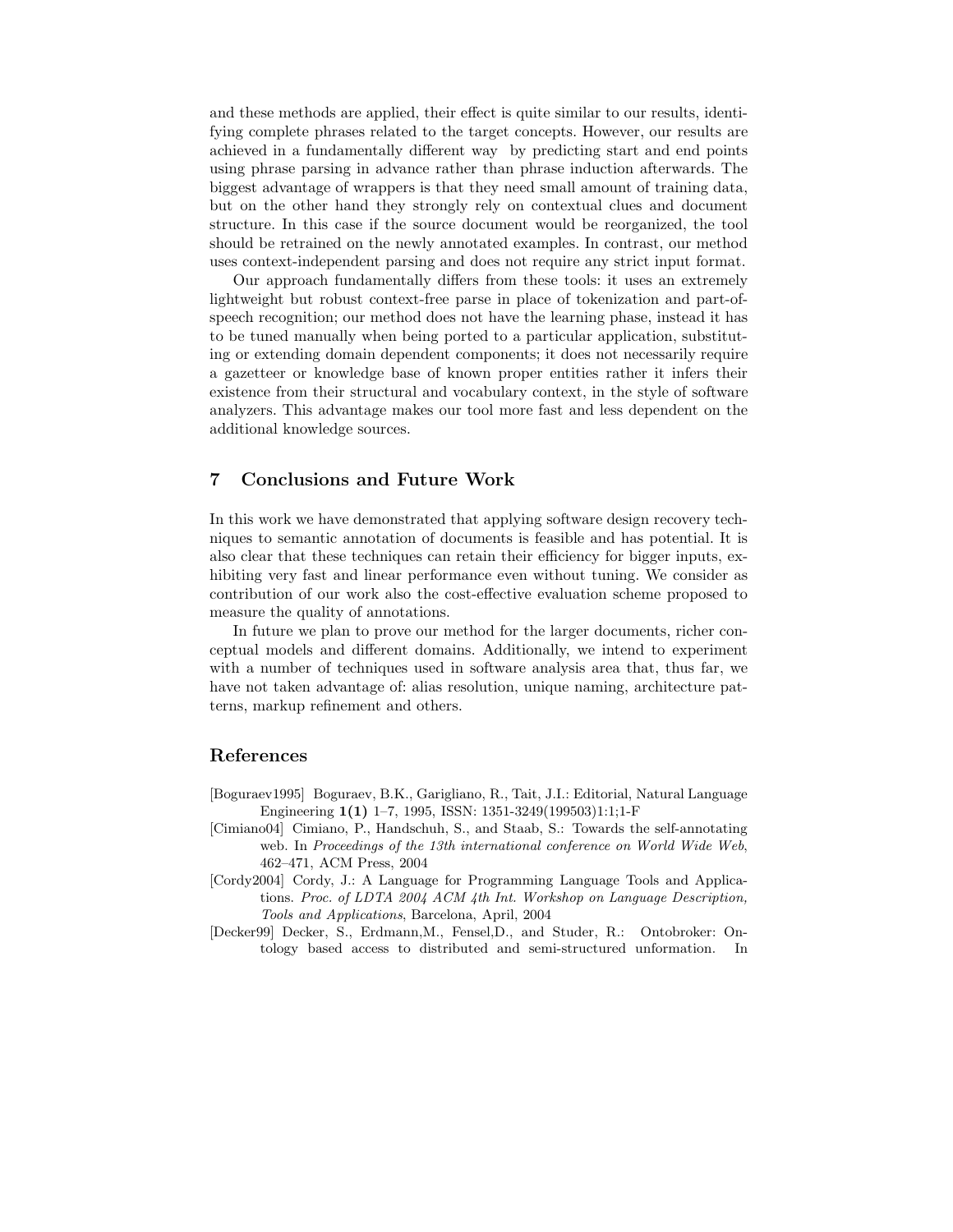and these methods are applied, their effect is quite similar to our results, identifying complete phrases related to the target concepts. However, our results are achieved in a fundamentally different way by predicting start and end points using phrase parsing in advance rather than phrase induction afterwards. The biggest advantage of wrappers is that they need small amount of training data, but on the other hand they strongly rely on contextual clues and document structure. In this case if the source document would be reorganized, the tool should be retrained on the newly annotated examples. In contrast, our method uses context-independent parsing and does not require any strict input format.

Our approach fundamentally differs from these tools: it uses an extremely lightweight but robust context-free parse in place of tokenization and part-ofspeech recognition; our method does not have the learning phase, instead it has to be tuned manually when being ported to a particular application, substituting or extending domain dependent components; it does not necessarily require a gazetteer or knowledge base of known proper entities rather it infers their existence from their structural and vocabulary context, in the style of software analyzers. This advantage makes our tool more fast and less dependent on the additional knowledge sources.

## 7 Conclusions and Future Work

In this work we have demonstrated that applying software design recovery techniques to semantic annotation of documents is feasible and has potential. It is also clear that these techniques can retain their efficiency for bigger inputs, exhibiting very fast and linear performance even without tuning. We consider as contribution of our work also the cost-effective evaluation scheme proposed to measure the quality of annotations.

In future we plan to prove our method for the larger documents, richer conceptual models and different domains. Additionally, we intend to experiment with a number of techniques used in software analysis area that, thus far, we have not taken advantage of: alias resolution, unique naming, architecture patterns, markup refinement and others.

#### References

- [Boguraev1995] Boguraev, B.K., Garigliano, R., Tait, J.I.: Editorial, Natural Language Engineering  $1(1)$  1–7, 1995, ISSN: 1351-3249(199503)1:1;1-F
- [Cimiano04] Cimiano, P., Handschuh, S., and Staab, S.: Towards the self-annotating web. In Proceedings of the 13th international conference on World Wide Web, 462–471, ACM Press, 2004
- [Cordy2004] Cordy, J.: A Language for Programming Language Tools and Applications. Proc. of LDTA 2004 ACM 4th Int. Workshop on Language Description, Tools and Applications, Barcelona, April, 2004
- [Decker99] Decker, S., Erdmann,M., Fensel,D., and Studer, R.: Ontobroker: Ontology based access to distributed and semi-structured unformation. In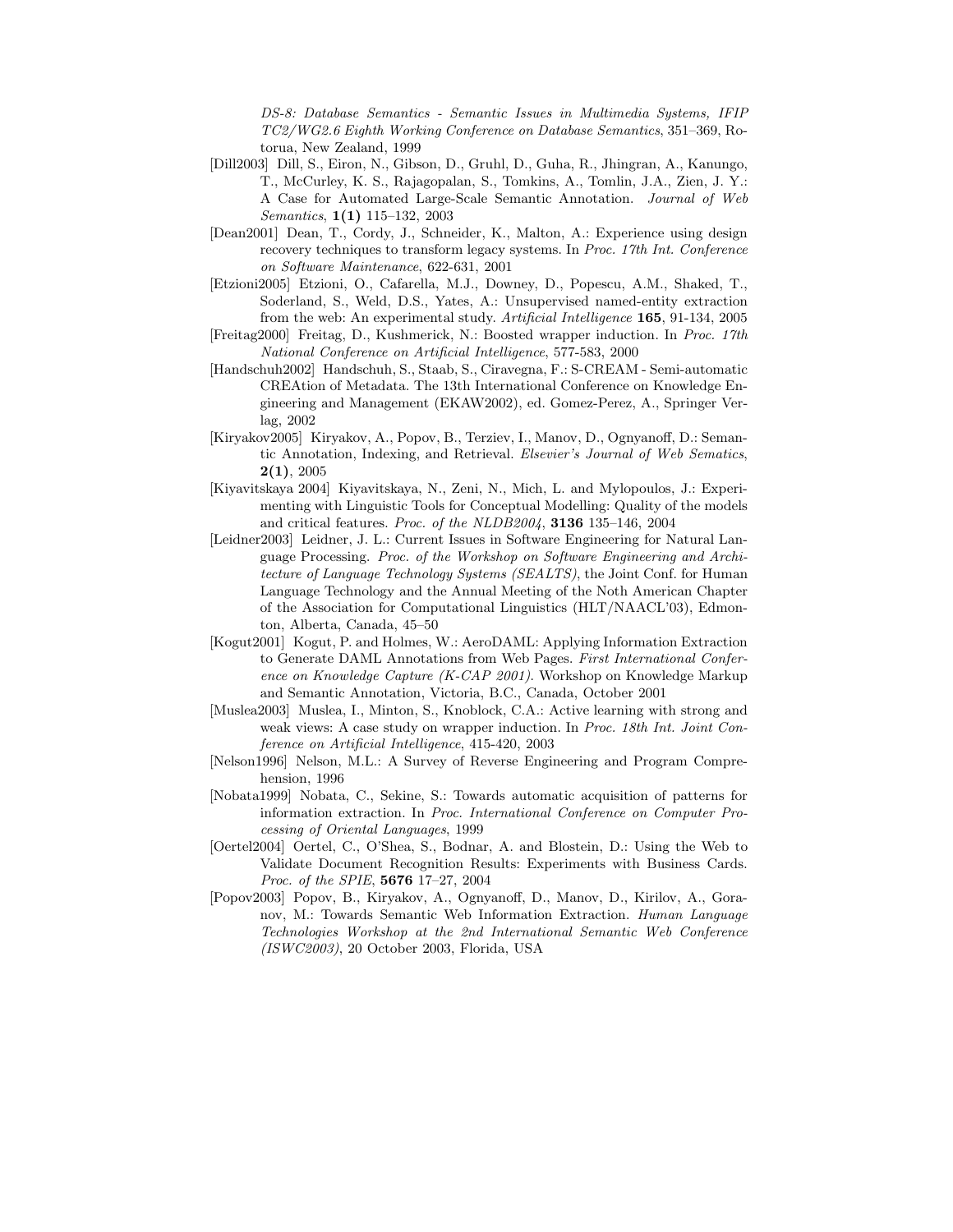DS-8: Database Semantics - Semantic Issues in Multimedia Systems, IFIP TC2/WG2.6 Eighth Working Conference on Database Semantics, 351–369, Rotorua, New Zealand, 1999

- [Dill2003] Dill, S., Eiron, N., Gibson, D., Gruhl, D., Guha, R., Jhingran, A., Kanungo, T., McCurley, K. S., Rajagopalan, S., Tomkins, A., Tomlin, J.A., Zien, J. Y.: A Case for Automated Large-Scale Semantic Annotation. Journal of Web Semantics, 1(1) 115–132, 2003
- [Dean2001] Dean, T., Cordy, J., Schneider, K., Malton, A.: Experience using design recovery techniques to transform legacy systems. In Proc. 17th Int. Conference on Software Maintenance, 622-631, 2001
- [Etzioni2005] Etzioni, O., Cafarella, M.J., Downey, D., Popescu, A.M., Shaked, T., Soderland, S., Weld, D.S., Yates, A.: Unsupervised named-entity extraction from the web: An experimental study. Artificial Intelligence 165, 91-134, 2005
- [Freitag2000] Freitag, D., Kushmerick, N.: Boosted wrapper induction. In Proc. 17th National Conference on Artificial Intelligence, 577-583, 2000
- [Handschuh2002] Handschuh, S., Staab, S., Ciravegna, F.: S-CREAM Semi-automatic CREAtion of Metadata. The 13th International Conference on Knowledge Engineering and Management (EKAW2002), ed. Gomez-Perez, A., Springer Verlag, 2002
- [Kiryakov2005] Kiryakov, A., Popov, B., Terziev, I., Manov, D., Ognyanoff, D.: Semantic Annotation, Indexing, and Retrieval. Elsevier's Journal of Web Sematics,  $2(1), 2005$
- [Kiyavitskaya 2004] Kiyavitskaya, N., Zeni, N., Mich, L. and Mylopoulos, J.: Experimenting with Linguistic Tools for Conceptual Modelling: Quality of the models and critical features. Proc. of the NLDB2004, 3136 135–146, 2004
- [Leidner2003] Leidner, J. L.: Current Issues in Software Engineering for Natural Language Processing. Proc. of the Workshop on Software Engineering and Architecture of Language Technology Systems (SEALTS), the Joint Conf. for Human Language Technology and the Annual Meeting of the Noth American Chapter of the Association for Computational Linguistics (HLT/NAACL'03), Edmonton, Alberta, Canada, 45–50
- [Kogut2001] Kogut, P. and Holmes, W.: AeroDAML: Applying Information Extraction to Generate DAML Annotations from Web Pages. First International Conference on Knowledge Capture (K-CAP 2001). Workshop on Knowledge Markup and Semantic Annotation, Victoria, B.C., Canada, October 2001
- [Muslea2003] Muslea, I., Minton, S., Knoblock, C.A.: Active learning with strong and weak views: A case study on wrapper induction. In Proc. 18th Int. Joint Conference on Artificial Intelligence, 415-420, 2003
- [Nelson1996] Nelson, M.L.: A Survey of Reverse Engineering and Program Comprehension, 1996
- [Nobata1999] Nobata, C., Sekine, S.: Towards automatic acquisition of patterns for information extraction. In Proc. International Conference on Computer Processing of Oriental Languages, 1999
- [Oertel2004] Oertel, C., O'Shea, S., Bodnar, A. and Blostein, D.: Using the Web to Validate Document Recognition Results: Experiments with Business Cards. Proc. of the SPIE, 5676 17–27, 2004
- [Popov2003] Popov, B., Kiryakov, A., Ognyanoff, D., Manov, D., Kirilov, A., Goranov, M.: Towards Semantic Web Information Extraction. Human Language Technologies Workshop at the 2nd International Semantic Web Conference (ISWC2003), 20 October 2003, Florida, USA